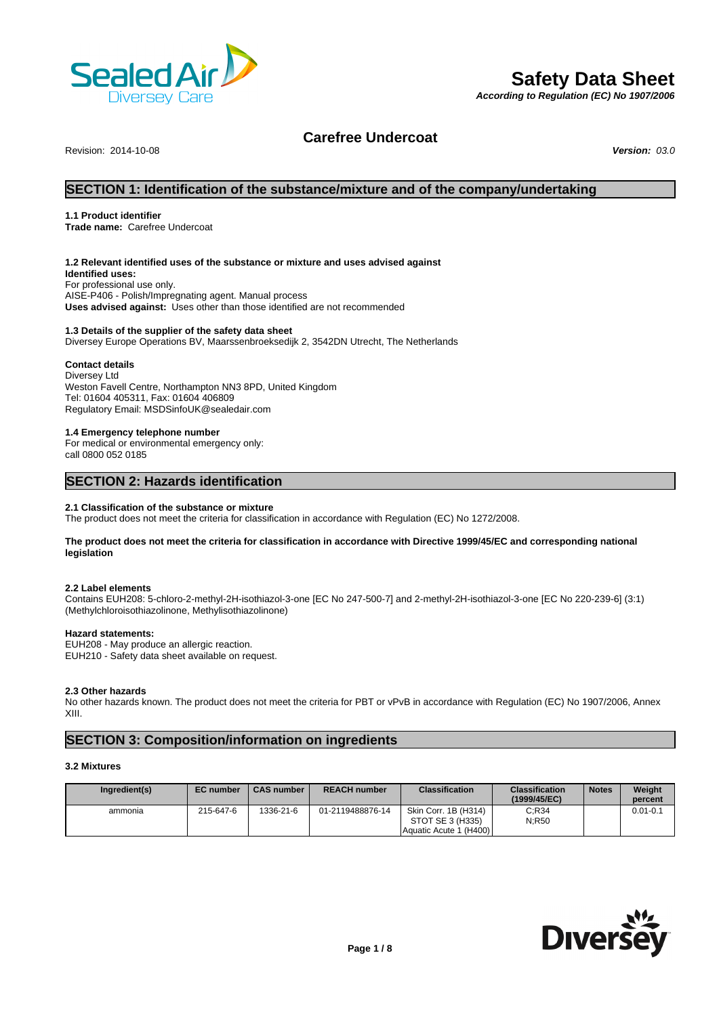

# **Safety Data Sheet**

*According to Regulation (EC) No 1907/2006*

# **Carefree Undercoat**

Revision: 2014-10-08 *Version: 03.0*

# **SECTION 1: Identification of the substance/mixture and of the company/undertaking**

# **1.1 Product identifier**

**Trade name:** Carefree Undercoat

# **1.2 Relevant identified uses of the substance or mixture and uses advised against**

**Identified uses:** For professional use only. AISE-P406 - Polish/Impregnating agent. Manual process **Uses advised against:** Uses other than those identified are not recommended

## **1.3 Details of the supplier of the safety data sheet**

Diversey Europe Operations BV, Maarssenbroeksedijk 2, 3542DN Utrecht, The Netherlands

# **Contact details**

Diversey Ltd Weston Favell Centre, Northampton NN3 8PD, United Kingdom Tel: 01604 405311, Fax: 01604 406809 Regulatory Email: MSDSinfoUK@sealedair.com

## **1.4 Emergency telephone number**

For medical or environmental emergency only: call 0800 052 0185

# **SECTION 2: Hazards identification**

## **2.1 Classification of the substance or mixture**

The product does not meet the criteria for classification in accordance with Regulation (EC) No 1272/2008.

## **The product does not meet the criteria for classification in accordance with Directive 1999/45/EC and corresponding national legislation**

## **2.2 Label elements**

Contains EUH208: 5-chloro-2-methyl-2H-isothiazol-3-one [EC No 247-500-7] and 2-methyl-2H-isothiazol-3-one [EC No 220-239-6] (3:1) (Methylchloroisothiazolinone, Methylisothiazolinone)

# **Hazard statements:**

EUH208 - May produce an allergic reaction. EUH210 - Safety data sheet available on request.

# **2.3 Other hazards**

No other hazards known. The product does not meet the criteria for PBT or vPvB in accordance with Regulation (EC) No 1907/2006, Annex XIII.

# **SECTION 3: Composition/information on ingredients**

# **3.2 Mixtures**

| Ingredient(s) | <b>EC</b> number | <b>CAS number</b> | <b>REACH number</b> | <b>Classification</b>  | <b>Classification</b><br>(1999/45/EC) | <b>Notes</b> | Weight<br>percent |
|---------------|------------------|-------------------|---------------------|------------------------|---------------------------------------|--------------|-------------------|
| ammonia       | 215-647-6        | 1336-21-6         | 01-2119488876-14    | Skin Corr. 1B (H314)   | C:R34                                 |              | $0.01 - 0.1$      |
|               |                  |                   |                     | STOT SE 3 (H335)       | N:R50                                 |              |                   |
|               |                  |                   |                     | Aquatic Acute 1 (H400) |                                       |              |                   |

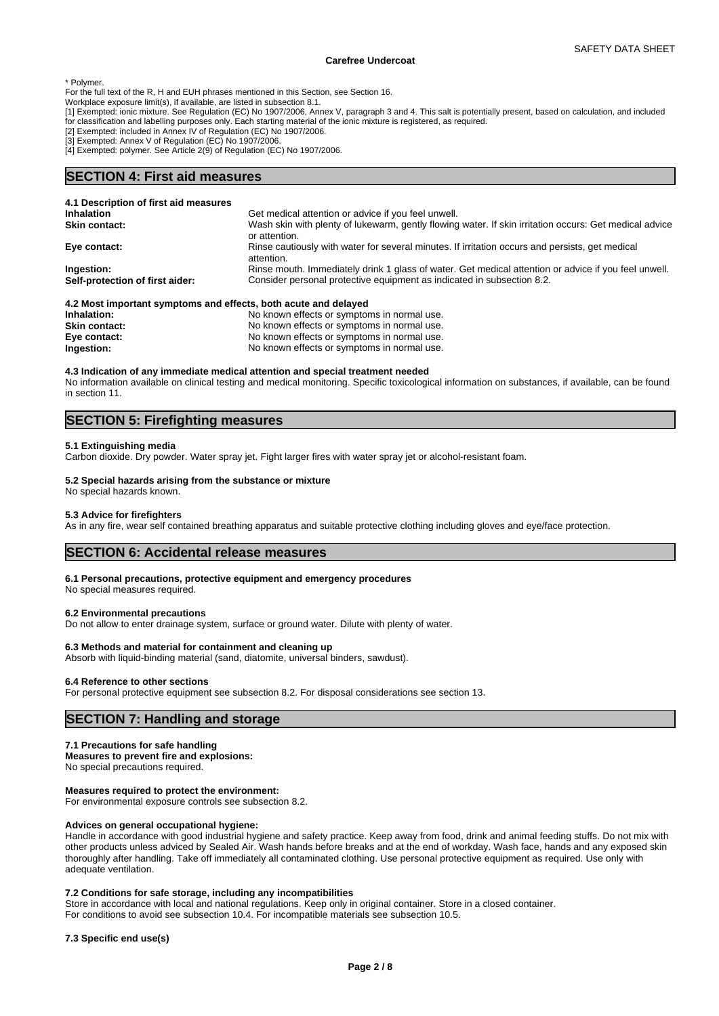\* Polymer.

For the full text of the R, H and EUH phrases mentioned in this Section, see Section 16.

Workplace exposure limit(s), if available, are listed in subsection 8.1.

[1] Exempted: ionic mixture. See Regulation (EC) No 1907/2006, Annex V, paragraph 3 and 4. This salt is potentially present, based on calculation, and included for classification and labelling purposes only. Each starting material of the ionic mixture is registered, as required.

[2] Exempted: included in Annex IV of Regulation (EC) No 1907/2006.

[3] Exempted: Annex V of Regulation (EC) No 1907/2006.

[4] Exempted: polymer. See Article 2(9) of Regulation (EC) No 1907/2006.

# **SECTION 4: First aid measures**

| 4.1 Description of first aid measures                           |                                                                                                                         |
|-----------------------------------------------------------------|-------------------------------------------------------------------------------------------------------------------------|
| <b>Inhalation</b>                                               | Get medical attention or advice if you feel unwell.                                                                     |
| <b>Skin contact:</b>                                            | Wash skin with plenty of lukewarm, gently flowing water. If skin irritation occurs: Get medical advice<br>or attention. |
| Eye contact:                                                    | Rinse cautiously with water for several minutes. If irritation occurs and persists, get medical<br>attention.           |
| Ingestion:                                                      | Rinse mouth. Immediately drink 1 glass of water. Get medical attention or advice if you feel unwell.                    |
| Self-protection of first aider:                                 | Consider personal protective equipment as indicated in subsection 8.2.                                                  |
| 4.2 Most important symptoms and effects, both acute and delayed |                                                                                                                         |
| Inholation.                                                     | No known offects or symptoms in normal use                                                                              |

| Inhalation:          | No known effects or symptoms in normal use. |
|----------------------|---------------------------------------------|
| <b>Skin contact:</b> | No known effects or symptoms in normal use. |
| Eye contact:         | No known effects or symptoms in normal use. |
| Ingestion:           | No known effects or symptoms in normal use. |

#### **4.3 Indication of any immediate medical attention and special treatment needed**

No information available on clinical testing and medical monitoring. Specific toxicological information on substances, if available, can be found in section 11.

# **SECTION 5: Firefighting measures**

## **5.1 Extinguishing media**

Carbon dioxide. Dry powder. Water spray jet. Fight larger fires with water spray jet or alcohol-resistant foam.

## **5.2 Special hazards arising from the substance or mixture**

No special hazards known.

# **5.3 Advice for firefighters**

As in any fire, wear self contained breathing apparatus and suitable protective clothing including gloves and eye/face protection.

# **SECTION 6: Accidental release measures**

#### **6.1 Personal precautions, protective equipment and emergency procedures**

No special measures required.

### **6.2 Environmental precautions**

Do not allow to enter drainage system, surface or ground water. Dilute with plenty of water.

#### **6.3 Methods and material for containment and cleaning up**

Absorb with liquid-binding material (sand, diatomite, universal binders, sawdust).

## **6.4 Reference to other sections**

For personal protective equipment see subsection 8.2. For disposal considerations see section 13.

# **SECTION 7: Handling and storage**

# **7.1 Precautions for safe handling**

**Measures to prevent fire and explosions:** No special precautions required.

## **Measures required to protect the environment:**

For environmental exposure controls see subsection 8.2.

### **Advices on general occupational hygiene:**

Handle in accordance with good industrial hygiene and safety practice. Keep away from food, drink and animal feeding stuffs. Do not mix with other products unless adviced by Sealed Air. Wash hands before breaks and at the end of workday. Wash face, hands and any exposed skin thoroughly after handling. Take off immediately all contaminated clothing. Use personal protective equipment as required. Use only with adequate ventilation.

## **7.2 Conditions for safe storage, including any incompatibilities**

Store in accordance with local and national regulations. Keep only in original container. Store in a closed container. For conditions to avoid see subsection 10.4. For incompatible materials see subsection 10.5.

# **7.3 Specific end use(s)**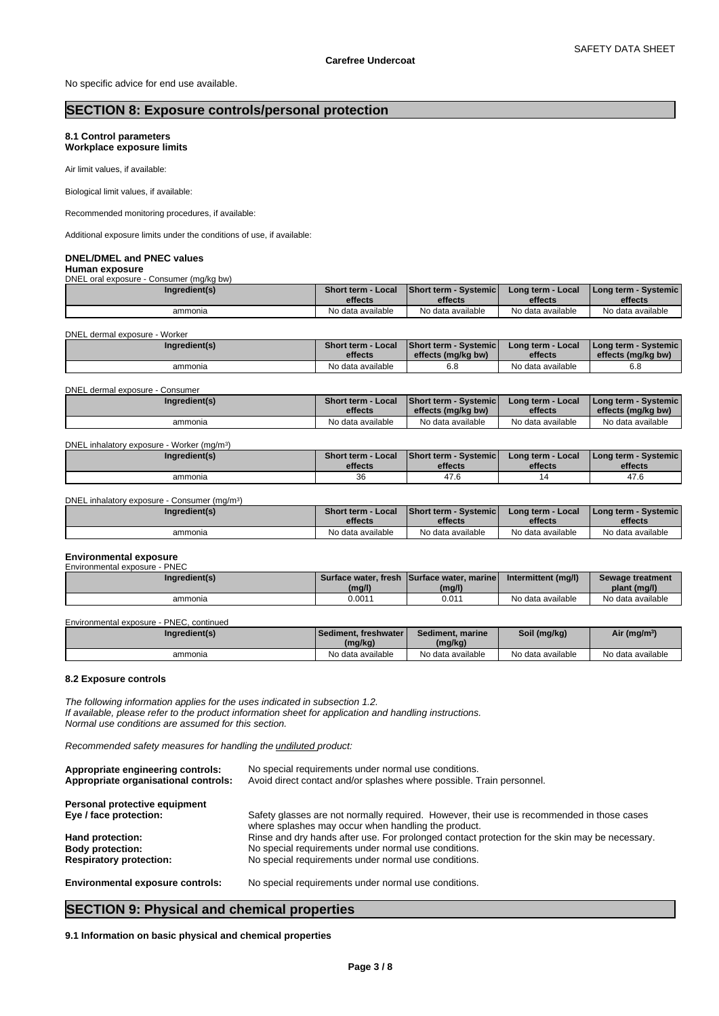No specific advice for end use available.

# **SECTION 8: Exposure controls/personal protection**

# **8.1 Control parameters Workplace exposure limits**

Air limit values, if available:

Biological limit values, if available:

Recommended monitoring procedures, if available:

Additional exposure limits under the conditions of use, if available:

# **DNEL/DMEL and PNEC values**

**Human exposure** DNEL oral exposure - Consumer (mg/kg bw)

| Ingredient(s) | <b>Short term - Local</b> | <b>Short term - Systemic I</b> | Long term - Local | I Long term - Systemic I |
|---------------|---------------------------|--------------------------------|-------------------|--------------------------|
|               | effects                   | effects                        | effects           | effects                  |
| ammonia       | No data available         | No data available              | No data available | No data available        |

DNEL dermal exposure - Worker

| Ingredient(s) | <b>Short term - Local</b> | <b>Short term - Systemic</b> | Long term - Local | I Long term - Systemic i |
|---------------|---------------------------|------------------------------|-------------------|--------------------------|
|               | effects                   | effects (mg/kg bw)           | effects           | effects (ma/ka bw)       |
| ammonia       | No data available         | ხ. მ                         | No data available | 0.0                      |

DNEL dermal exposure - Consumer

| Ingredient(s) | Short term - Local | <b>Short term - Systemic</b> | Long term - Local | l Long term - Svstemic l |
|---------------|--------------------|------------------------------|-------------------|--------------------------|
|               | effects            | effects (mg/kg bw)           | effects           | effects (mg/kg bw)       |
| ammonia       | No data available  | No data available            | No data available | No data available        |

| DNEL inhalatory exposure - Worker (mg/m <sup>3</sup> ) |  |
|--------------------------------------------------------|--|
|--------------------------------------------------------|--|

| Ingredient(s) | Short term - Local | <b>Short term - Systemic</b> | Long term - Local | I Long term - Systemic I |
|---------------|--------------------|------------------------------|-------------------|--------------------------|
|               | effects            | effects                      | effects           | effects                  |
| ammonia       | 36                 | $\sim$<br>41.0               |                   | $\overline{A}$<br>47. U  |

DNEL inhalatory exposure - Consumer (mg/m<sup>3</sup>  $)$ 

| Ingredient(s) | <b>Short term - Local</b><br>effects | <b>Short term - Systemicle</b><br>effects | Long term - Local<br>effects | <b>I Long term - Systemic i</b><br>effects |
|---------------|--------------------------------------|-------------------------------------------|------------------------------|--------------------------------------------|
| ammonia       | No data available                    | No data available                         | No data available            | No data available                          |
|               |                                      |                                           |                              |                                            |

# **Environmental exposure**

| Environmental exposure - PNEC |        |                                            |                     |                   |
|-------------------------------|--------|--------------------------------------------|---------------------|-------------------|
| Ingredient(s)                 |        | Surface water, fresh Surface water, marine | Intermittent (mg/l) | Sewage treatment  |
|                               | (mg/l) | (mg/l)                                     |                     | plant (mg/l)      |
| ammonia                       | 0.001' | 0.011                                      | No data available   | No data available |

Environmental exposure - PNEC, continued

| Ingredient(s) | Sediment, freshwater I<br>(mg/kg) | Sediment, marine<br>(mg/kg) | Soil (mg/kg)      | Air (mg/m <sup>3)</sup> |
|---------------|-----------------------------------|-----------------------------|-------------------|-------------------------|
| ammonia       | No data available                 | No data available           | No data available | No data available       |

# **8.2 Exposure controls**

*The following information applies for the uses indicated in subsection 1.2. If available, please refer to the product information sheet for application and handling instructions. Normal use conditions are assumed for this section.*

*Recommended safety measures for handling the undiluted product:*

| Appropriate engineering controls:<br>Appropriate organisational controls: | No special requirements under normal use conditions.<br>Avoid direct contact and/or splashes where possible. Train personnel.                     |
|---------------------------------------------------------------------------|---------------------------------------------------------------------------------------------------------------------------------------------------|
| Personal protective equipment                                             |                                                                                                                                                   |
| Eye / face protection:                                                    | Safety glasses are not normally required. However, their use is recommended in those cases<br>where splashes may occur when handling the product. |
| Hand protection:                                                          | Rinse and dry hands after use. For prolonged contact protection for the skin may be necessary.                                                    |
| <b>Body protection:</b>                                                   | No special requirements under normal use conditions.                                                                                              |
| <b>Respiratory protection:</b>                                            | No special requirements under normal use conditions.                                                                                              |
| <b>Environmental exposure controls:</b>                                   | No special requirements under normal use conditions.                                                                                              |

# **SECTION 9: Physical and chemical properties**

**9.1 Information on basic physical and chemical properties**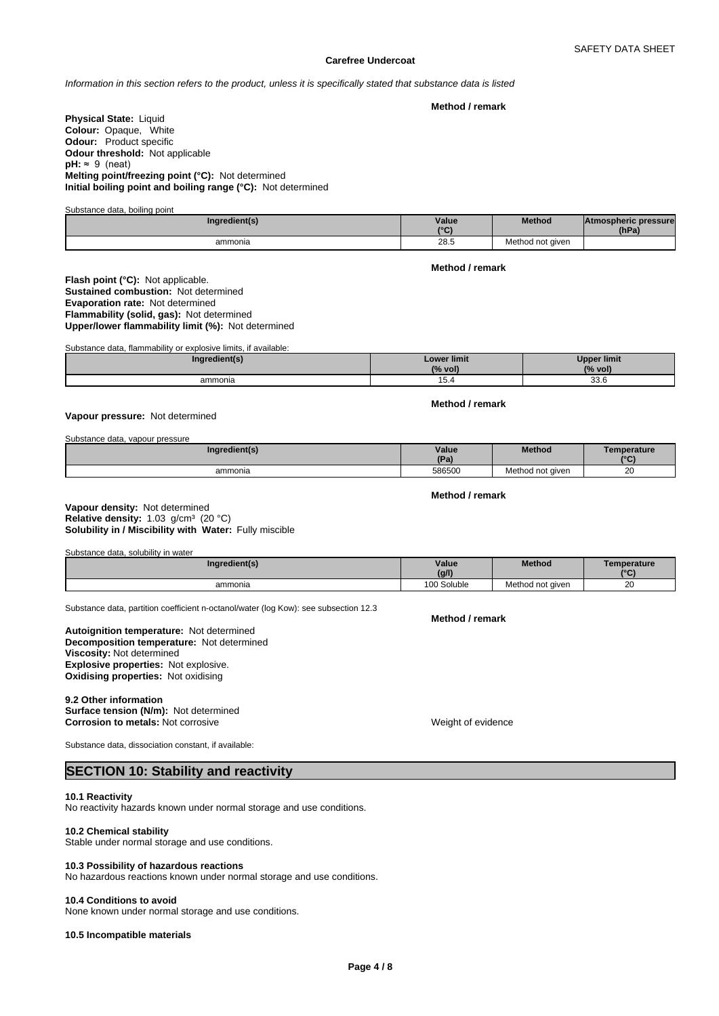*Information in this section refers to the product, unless it is specifically stated that substance data is listed*

**Method / remark**

**Physical State: Liquid Colour:** Opaque, White **Odour:** Product specific **Odour threshold:** Not applicable **pH:** ≈ 9 (neat) **Melting point/freezing point (°C):** Not determined **Initial boiling point and boiling range (°C):** Not determined

Substance data, boiling point

| Ingredient(s) | Value<br>10P | Method           | <b>Atmospheric pressure</b><br>(hPa) |  |
|---------------|--------------|------------------|--------------------------------------|--|
| ammonia       | 28.5         | Method not given |                                      |  |

**Flash point (°C):** Not applicable. **Sustained combustion:** Not determined **Evaporation rate:** Not determined **Flammability (solid, gas):** Not determined **Upper/lower flammability limit (%):** Not determined

Substance data, flammability or explosive limits, if available:

| Ingredient(s) | <b>Lower limit</b><br>$(%$ vol<br>$\sim$ 70 | Upper limit<br>$(%$ vol) |
|---------------|---------------------------------------------|--------------------------|
| ammonia       | 10.4                                        | ລລ ພ<br>აა.ხ<br>$ -$     |

## **Vapour pressure:** Not determined

Substance data, vapour pressure

| Ingredient(s) | Value<br>(Pa) | <b>Method</b>    | Temperature<br>10 <sub>0</sub> |
|---------------|---------------|------------------|--------------------------------|
| ammonia       | 586500        | Method not aiven | 20                             |

## **Solubility in / Miscibility with Water:** Fully miscible **Vapour density:** Not determined **Relative density:** 1.03 g/cm<sup>3</sup> (20 °C)

Substance data, solubility in water

| Ingredient(s) | Value<br>(g/l) | <b>Method</b>    | Temperature<br>10P |
|---------------|----------------|------------------|--------------------|
| ammonia       | 100 Soluble    | Method not given | 20                 |

Substance data, partition coefficient n-octanol/water (log Kow): see subsection 12.3

**Decomposition temperature:** Not determined **Autoignition temperature:** Not determined **Viscosity:** Not determined **Explosive properties:** Not explosive. **Oxidising properties:** Not oxidising

#### **9.2 Other information**

**Surface tension (N/m):** Not determined **Corrosion to metals:** Not corrosive Weight of evidence

Substance data, dissociation constant, if available:

# **SECTION 10: Stability and reactivity**

## **10.1 Reactivity**

No reactivity hazards known under normal storage and use conditions.

# **10.2 Chemical stability**

Stable under normal storage and use conditions.

#### **10.3 Possibility of hazardous reactions**

No hazardous reactions known under normal storage and use conditions.

#### **10.4 Conditions to avoid**

None known under normal storage and use conditions.

# **10.5 Incompatible materials**

# **Method / remark**

**Method / remark**

**Method / remark**

**Method / remark**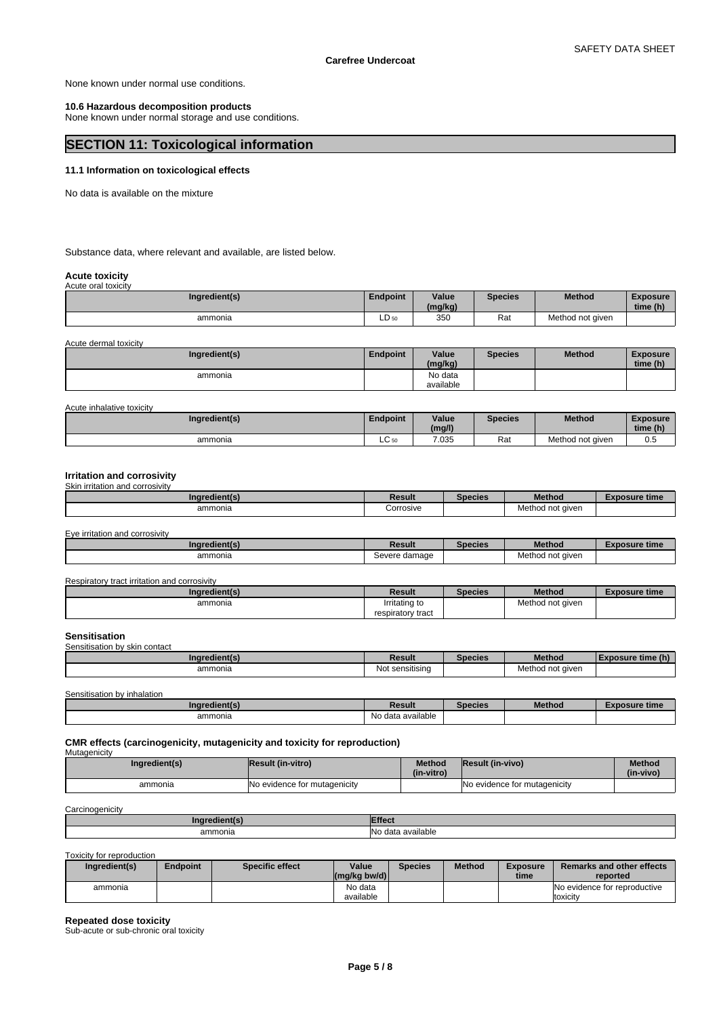None known under normal use conditions.

# **10.6 Hazardous decomposition products**

None known under normal storage and use conditions.

# **SECTION 11: Toxicological information**

# **11.1 Information on toxicological effects**

No data is available on the mixture

Substance data, where relevant and available, are listed below.

# **Acute toxicity** Acute oral toxicity

| $, \, \omega$ ato oral to $\omega$ toit $\gamma$ |                 |                  |         |                  |                      |  |
|--------------------------------------------------|-----------------|------------------|---------|------------------|----------------------|--|
| Ingredient(s)                                    | <b>Endpoint</b> | Value<br>(mg/kg) | Species | Method           | Exposure<br>time (h) |  |
| ammonia                                          | $LD_{50}$       | 35 <sub>C</sub>  | Rat     | Method not given |                      |  |

Acute dermal toxicity

| Ingredient(s) | <b>Endpoint</b> | Value<br>(mg/kg)     | <b>Species</b> | Method | <b>Exposure</b><br>time (h) |
|---------------|-----------------|----------------------|----------------|--------|-----------------------------|
| ammonia       |                 | No data<br>available |                |        |                             |

## Acute inhalative toxicity

| Ingredient(s) | <b>Endpoint</b> | Value<br>(mg/l) | <b>Species</b> | Method           | <b>Exposure</b><br>time (h) |
|---------------|-----------------|-----------------|----------------|------------------|-----------------------------|
| ammonia       | $\sim$<br>ᄔᅛ    | 7.035           | _<br>Rat       | Method not given | ບ.ບ                         |

#### **Irritation and corrosivity** Skin irritation and corrosivity

| Ingredient(s) | रेesult                       | Species | <b>Method</b>    | osure time |
|---------------|-------------------------------|---------|------------------|------------|
| ammonia       | ____<br><b>Corrosive</b><br>. |         | Method not given |            |

| Eye irritation and corrosivity |  |
|--------------------------------|--|
|--------------------------------|--|

| <b>Ingredient</b> (s | Result           | Species | <b>Method</b>                   | $\neg$ xposure time |
|----------------------|------------------|---------|---------------------------------|---------------------|
| ammonia              | damage<br>Severe |         | aiven<br>$-$<br>Method<br>,,,,, |                     |

| Respiratory tract irritation and corrosivity |                   |         |                  |                      |
|----------------------------------------------|-------------------|---------|------------------|----------------------|
| Ingredient(s)                                | Result            | Species | <b>Method</b>    | <b>Exposure time</b> |
| ammonia                                      | Irritating to     |         | Method not given |                      |
|                                              | respiratory tract |         |                  |                      |

#### **Sensitisation** sensition by akin contact

| $\cdots$<br>ammonia<br>sensitising<br>aiven<br>Not | <b>SEIBIUSAUVITUV SNITUVIILAU</b><br>лne | ≀esult | :uca | <b>Method</b> |  |
|----------------------------------------------------|------------------------------------------|--------|------|---------------|--|
|                                                    |                                          |        |      |               |  |

Sensitisation by inhalation

| dient(s<br>anare | Result                         | Species | <b>Method</b> | osure time |
|------------------|--------------------------------|---------|---------------|------------|
| ammonia          | ∖l∩<br>) data available.<br>٦U |         |               |            |

**CMR effects (carcinogenicity, mutagenicity and toxicity for reproduction) Mutagenicity** 

| Ingredient(s) | <b>Result (in-vitro)</b>     | Method<br>(in-vitro) | Result (in-vivo)             | <b>Method</b><br>(in-vivo) |
|---------------|------------------------------|----------------------|------------------------------|----------------------------|
| ammonia       | No evidence for mutagenicity |                      | No evidence for mutagenicity |                            |

**Carcinogenicity** 

| <br>andiantie -                                                                                                                                                                                                                                                                                                                                                                                                                                                                                   | <b>Effect</b>                      |
|---------------------------------------------------------------------------------------------------------------------------------------------------------------------------------------------------------------------------------------------------------------------------------------------------------------------------------------------------------------------------------------------------------------------------------------------------------------------------------------------------|------------------------------------|
| ammonia<br>$\begin{array}{ccc} \multicolumn{3}{c}{} & \multicolumn{3}{c}{} & \multicolumn{3}{c}{} & \multicolumn{3}{c}{} & \multicolumn{3}{c}{} & \multicolumn{3}{c}{} & \multicolumn{3}{c}{} & \multicolumn{3}{c}{} & \multicolumn{3}{c}{} & \multicolumn{3}{c}{} & \multicolumn{3}{c}{} & \multicolumn{3}{c}{} & \multicolumn{3}{c}{} & \multicolumn{3}{c}{} & \multicolumn{3}{c}{} & \multicolumn{3}{c}{} & \multicolumn{3}{c}{} & \multicolumn{3}{c}{} & \multicolumn{3}{c}{} & \multicolumn$ | data available ו<br>INo<br>.<br>__ |

Toxicity for reproduction

| Ingredient(s) | Endpoint | <b>Specific effect</b> | Value<br>$(mg/kg)$ bw/d) | Species | <b>Method</b> | <b>Exposure</b><br>time | Remarks and other effects<br>reported    |
|---------------|----------|------------------------|--------------------------|---------|---------------|-------------------------|------------------------------------------|
| ammonia       |          |                        | No data<br>available     |         |               |                         | No evidence for reproductive<br>toxicity |

**Repeated dose toxicity**

Sub-acute or sub-chronic oral toxicity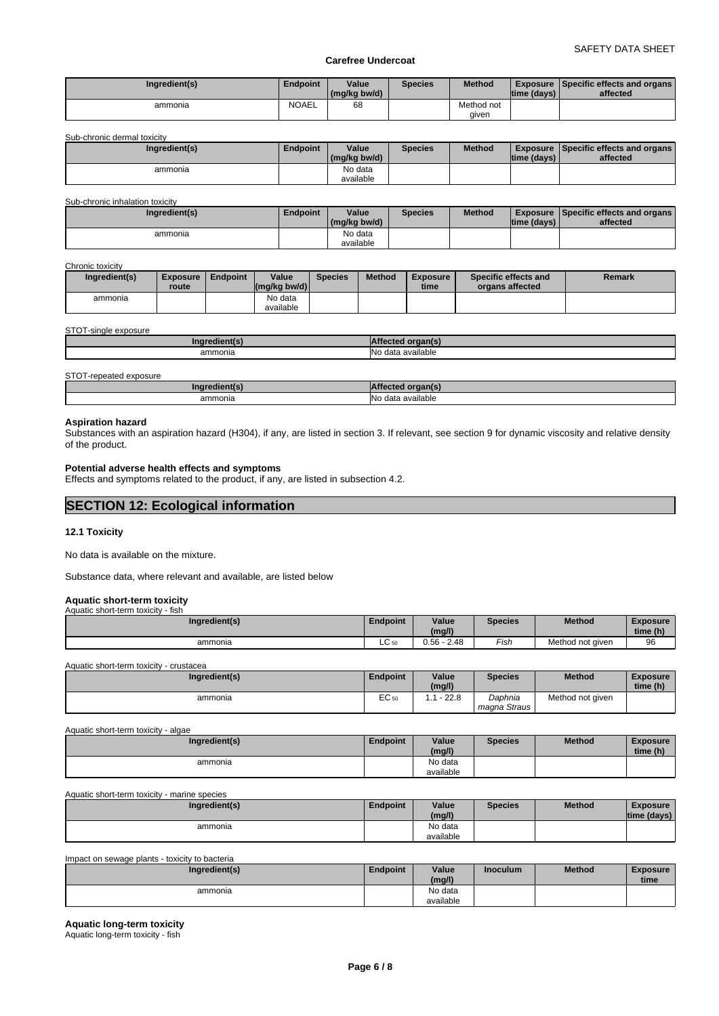|         |       | (mg/kg bw/d) |                     | time (days) | affected |
|---------|-------|--------------|---------------------|-------------|----------|
| ammonia | NOAEL | 68           | Method not<br>aiven |             |          |

Sub-chronic dermal toxicity

| Ingredient(s) | Endpoint | Value<br>(mg/kg bw/d) | <b>Species</b> | <b>Method</b> | Itime (davs) | <b>Exposure Specific effects and organs</b><br>affected |
|---------------|----------|-----------------------|----------------|---------------|--------------|---------------------------------------------------------|
| ammonia       |          | No data<br>available  |                |               |              |                                                         |

#### Sub-chronic inhalation toxicity

| Ingredient(s) | <b>Endpoint</b> | Value        | Species | <b>Method</b> |                | <b>Exposure Specific effects and organs</b> |
|---------------|-----------------|--------------|---------|---------------|----------------|---------------------------------------------|
|               |                 | (mg/kg bw/d) |         |               | Itime (davs) I | affected                                    |
| ammonia       |                 | No data      |         |               |                |                                             |
|               |                 | available    |         |               |                |                                             |

#### Chronic toxicity

| ----------------- |                          |          |                                                            |                |               |                         |                                         |        |
|-------------------|--------------------------|----------|------------------------------------------------------------|----------------|---------------|-------------------------|-----------------------------------------|--------|
| Ingredient(s)     | <b>Exposure</b><br>route | Endpoint | Value<br>$\left \frac{\text{mag}}{\text{kg}}\right $ bw/d) | <b>Species</b> | <b>Method</b> | <b>Exposure</b><br>time | Specific effects and<br>organs affected | Remark |
| ammonia           |                          |          | No data<br>available                                       |                |               |                         |                                         |        |

#### STOT-single exposure

| ammonia<br>$\begin{array}{ccc} \multicolumn{3}{c}{} & \multicolumn{3}{c}{} & \multicolumn{3}{c}{} & \multicolumn{3}{c}{} & \multicolumn{3}{c}{} & \multicolumn{3}{c}{} & \multicolumn{3}{c}{} & \multicolumn{3}{c}{} & \multicolumn{3}{c}{} & \multicolumn{3}{c}{} & \multicolumn{3}{c}{} & \multicolumn{3}{c}{} & \multicolumn{3}{c}{} & \multicolumn{3}{c}{} & \multicolumn{3}{c}{} & \multicolumn{3}{c}{} & \multicolumn{3}{c}{} & \multicolumn{3}{c}{} & \multicolumn{3}{c}{} & \multicolumn$ | <b>IN</b> o<br>ı available<br>$A^{\sim}$<br>udla<br>. |
|---------------------------------------------------------------------------------------------------------------------------------------------------------------------------------------------------------------------------------------------------------------------------------------------------------------------------------------------------------------------------------------------------------------------------------------------------------------------------------------------------|-------------------------------------------------------|
|                                                                                                                                                                                                                                                                                                                                                                                                                                                                                                   |                                                       |

STOT-repeated exposure

| .<br>Ingredient(s |                                                       |
|-------------------|-------------------------------------------------------|
| ammonia           | $\sim$ $\sim$<br>ı available<br>doto.<br>$\mathbf{u}$ |

#### **Aspiration hazard**

Substances with an aspiration hazard (H304), if any, are listed in section 3. If relevant, see section 9 for dynamic viscosity and relative density of the product.

# **Potential adverse health effects and symptoms**

Effects and symptoms related to the product, if any, are listed in subsection 4.2.

# **SECTION 12: Ecological information**

# **12.1 Toxicity**

No data is available on the mixture.

Substance data, where relevant and available, are listed below

# **Aquatic short-term toxicity** Aquatic short-term toxicity - fish

| Ingredient(s) | Endpoint        | Value<br>(mg/l) | <b>Species</b> | <b>Method</b>    | Exposure<br>time (h) |
|---------------|-----------------|-----------------|----------------|------------------|----------------------|
| ammonia       | $\sim$<br>LU 50 | 0.56 -<br>2.48  | Fish           | Method not given | 96                   |

Aquatic short-term toxicity - crustacea

| Ingredient(s) | <b>Endpoint</b>        | Value<br>(mg/l) | Species                 | <b>Method</b>    | Exposure<br>time (h) |  |
|---------------|------------------------|-----------------|-------------------------|------------------|----------------------|--|
| ammonia       | $\sim$<br><b>ヒし 50</b> | 22.8            | Daphnia<br>magna Straus | Method not given |                      |  |

## Aquatic short-term toxicity - algae

| Ingredient(s) | <b>Endpoint</b> | Value     | <b>Species</b> | Method | <b>Exposure</b> |  |
|---------------|-----------------|-----------|----------------|--------|-----------------|--|
|               |                 | (mg/l)    |                |        | time (h)        |  |
| ammonia       |                 | No data   |                |        |                 |  |
|               |                 | available |                |        |                 |  |

Aquatic short-term toxicity - marine species

| Ingredient(s) | Endpoint | Value<br>(mg/l)      | <b>Species</b> | <b>Method</b> | <b>Exposure</b><br>time (davs) |  |
|---------------|----------|----------------------|----------------|---------------|--------------------------------|--|
| ammonia       |          | No data<br>available |                |               |                                |  |

## Impact on sewage plants - toxicity to bacteria

| Ingredient(s) | <b>Endpoint</b> | Value<br>(mg/l) | <b>Inoculum</b> | <b>Method</b> | <b>Exposure</b><br>time |
|---------------|-----------------|-----------------|-----------------|---------------|-------------------------|
| ammonia       |                 | No data         |                 |               |                         |
|               |                 | available       |                 |               |                         |

# **Aquatic long-term toxicity**

Aquatic long-term toxicity - fish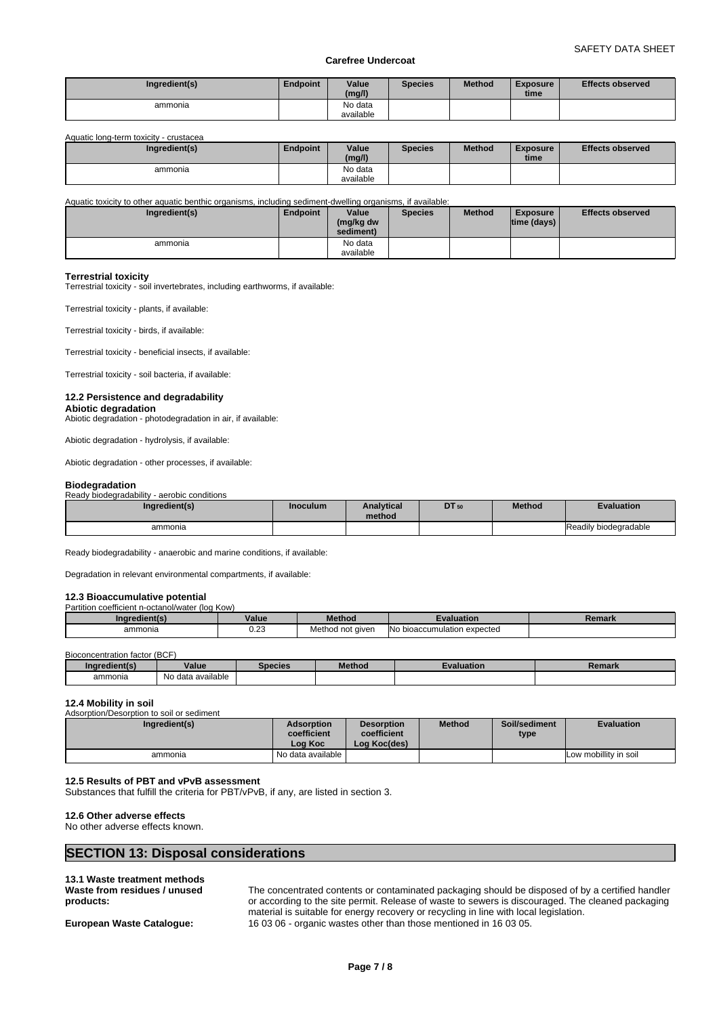| Ingredient(s) | Endpoint | Value<br>(mg/l) | <b>Species</b> | <b>Method</b> | <b>Exposure</b><br>time | <b>Effects observed</b> |
|---------------|----------|-----------------|----------------|---------------|-------------------------|-------------------------|
| ammonia       |          | No data         |                |               |                         |                         |
|               |          | available       |                |               |                         |                         |

Aquatic long-term toxicity - crustacea

| Ingredient(s) | <b>Endpoint</b> | Value<br>(mg/l)      | <b>Species</b> | <b>Method</b> | <b>Exposure</b><br>time | <b>Effects observed</b> |
|---------------|-----------------|----------------------|----------------|---------------|-------------------------|-------------------------|
| ammonia       |                 | No data<br>available |                |               |                         |                         |

Aquatic toxicity to other aquatic benthic organisms, including sediment-dwelling organisms, if available:

| Ingredient(s) | Endpoint | Value<br>(mg/kg dw<br>sediment) | <b>Species</b> | <b>Method</b> | <b>Exposure</b><br>$ time$ (days) $ $ | <b>Effects observed</b> |
|---------------|----------|---------------------------------|----------------|---------------|---------------------------------------|-------------------------|
| ammonia       |          | No data                         |                |               |                                       |                         |
|               |          | available                       |                |               |                                       |                         |

## **Terrestrial toxicity**

Terrestrial toxicity - soil invertebrates, including earthworms, if available:

Terrestrial toxicity - plants, if available:

Terrestrial toxicity - birds, if available:

Terrestrial toxicity - beneficial insects, if available:

Terrestrial toxicity - soil bacteria, if available:

#### **12.2 Persistence and degradability**

**Abiotic degradation** Abiotic degradation - photodegradation in air, if available:

Abiotic degradation - hydrolysis, if available:

Abiotic degradation - other processes, if available:

#### **Biodegradation**

Ready biodegradability - aerobic conditions

| Ingredient(s) | <b>Inoculum</b> | <b>Analytical</b><br>method | DT 50 | <b>Method</b> | Evaluation            |
|---------------|-----------------|-----------------------------|-------|---------------|-----------------------|
| ammonia       |                 |                             |       |               | Readily biodegradable |

Ready biodegradability - anaerobic and marine conditions, if available:

Degradation in relevant environmental compartments, if available:

#### **12.3 Bioaccumulative potential**

| Partition coefficient n-octanol/water (log Kow) |             |                  |                             |        |  |  |  |  |  |
|-------------------------------------------------|-------------|------------------|-----------------------------|--------|--|--|--|--|--|
| Ingredient(s)                                   | Value       | <b>Method</b>    | valuation                   | Remark |  |  |  |  |  |
| ammonia                                         | ה ה<br>U.Z3 | Method not aiven | No bioaccumulation expected |        |  |  |  |  |  |

Bioconcentration factor (BCF)

| edient(s)<br>.no· | Value                       | Species | <b>Contract Contract Contract Contract</b><br>Method | valuation | n manul<br>₹еніагк |
|-------------------|-----------------------------|---------|------------------------------------------------------|-----------|--------------------|
| ammonia           | <br>No.<br>o data available |         |                                                      |           |                    |

## **12.4 Mobility in soil**

| Adsorption/Desorption to soil or sediment |                                             |                                                  |               |                       |                       |
|-------------------------------------------|---------------------------------------------|--------------------------------------------------|---------------|-----------------------|-----------------------|
| Ingredient(s)                             | <b>Adsorption</b><br>coefficient<br>Loa Koc | <b>Desorption</b><br>coefficient<br>Log Koc(des) | <b>Method</b> | Soil/sediment<br>type | <b>Evaluation</b>     |
| ammonia                                   | No data available                           |                                                  |               |                       | Low mobillity in soil |

#### **12.5 Results of PBT and vPvB assessment**

Substances that fulfill the criteria for PBT/vPvB, if any, are listed in section 3.

#### **12.6 Other adverse effects**

No other adverse effects known.

# **SECTION 13: Disposal considerations**

#### **13.1 Waste treatment methods Waste from residues / unused products:**

The concentrated contents or contaminated packaging should be disposed of by a certified handler or according to the site permit. Release of waste to sewers is discouraged. The cleaned packaging material is suitable for energy recovery or recycling in line with local legislation. **European Waste Catalogue:** 16 03 06 - organic wastes other than those mentioned in 16 03 05.